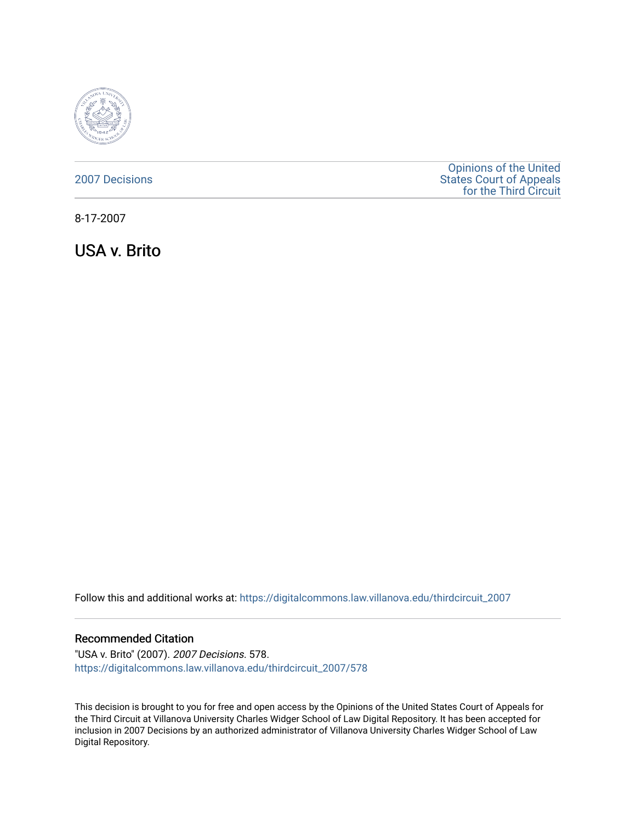

### [2007 Decisions](https://digitalcommons.law.villanova.edu/thirdcircuit_2007)

[Opinions of the United](https://digitalcommons.law.villanova.edu/thirdcircuit)  [States Court of Appeals](https://digitalcommons.law.villanova.edu/thirdcircuit)  [for the Third Circuit](https://digitalcommons.law.villanova.edu/thirdcircuit) 

8-17-2007

USA v. Brito

Follow this and additional works at: [https://digitalcommons.law.villanova.edu/thirdcircuit\\_2007](https://digitalcommons.law.villanova.edu/thirdcircuit_2007?utm_source=digitalcommons.law.villanova.edu%2Fthirdcircuit_2007%2F578&utm_medium=PDF&utm_campaign=PDFCoverPages) 

#### Recommended Citation

"USA v. Brito" (2007). 2007 Decisions. 578. [https://digitalcommons.law.villanova.edu/thirdcircuit\\_2007/578](https://digitalcommons.law.villanova.edu/thirdcircuit_2007/578?utm_source=digitalcommons.law.villanova.edu%2Fthirdcircuit_2007%2F578&utm_medium=PDF&utm_campaign=PDFCoverPages)

This decision is brought to you for free and open access by the Opinions of the United States Court of Appeals for the Third Circuit at Villanova University Charles Widger School of Law Digital Repository. It has been accepted for inclusion in 2007 Decisions by an authorized administrator of Villanova University Charles Widger School of Law Digital Repository.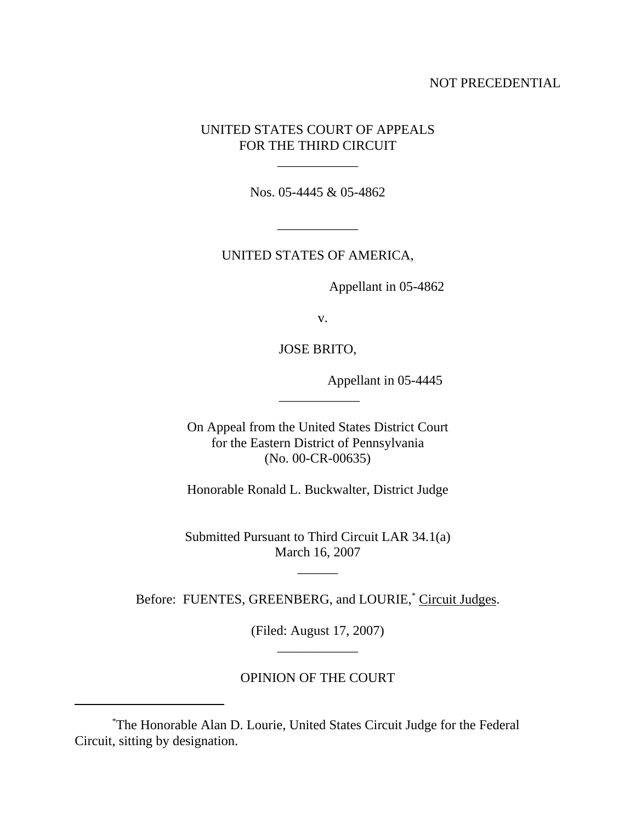### NOT PRECEDENTIAL

## UNITED STATES COURT OF APPEALS FOR THE THIRD CIRCUIT

Nos. 05-4445 & 05-4862

\_\_\_\_\_\_\_\_\_\_\_\_

\_\_\_\_\_\_\_\_\_\_\_\_

UNITED STATES OF AMERICA,

Appellant in 05-4862

v.

JOSE BRITO,

Appellant in 05-4445

On Appeal from the United States District Court for the Eastern District of Pennsylvania (No. 00-CR-00635)

 $\overline{\phantom{a}}$ 

Honorable Ronald L. Buckwalter, District Judge

Submitted Pursuant to Third Circuit LAR 34.1(a) March 16, 2007

 $\overline{\phantom{a}}$ 

Before: FUENTES, GREENBERG, and LOURIE,<sup>\*</sup> Circuit Judges.

(Filed: August 17, 2007) \_\_\_\_\_\_\_\_\_\_\_\_

# OPINION OF THE COURT

<sup>\*</sup> The Honorable Alan D. Lourie, United States Circuit Judge for the Federal Circuit, sitting by designation.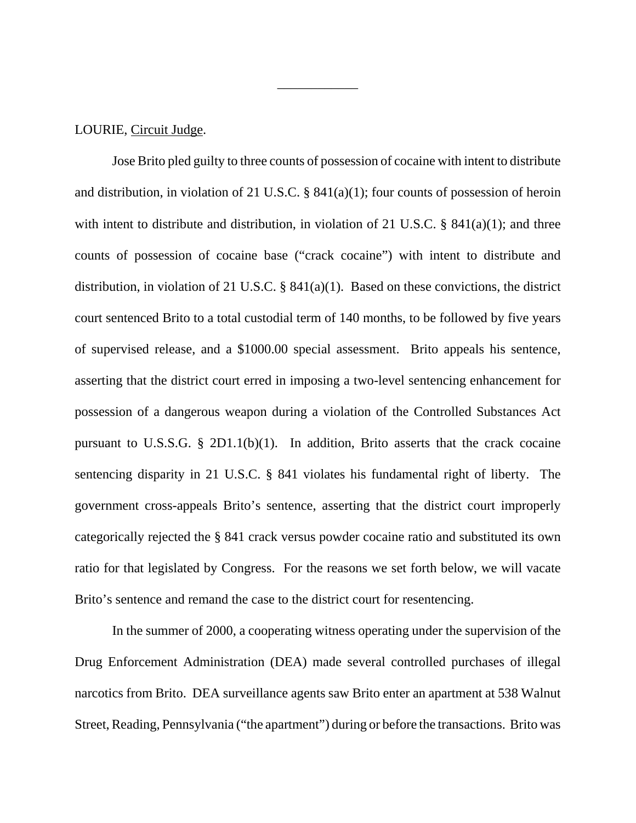#### LOURIE, Circuit Judge.

Jose Brito pled guilty to three counts of possession of cocaine with intent to distribute and distribution, in violation of 21 U.S.C.  $\S$  841(a)(1); four counts of possession of heroin with intent to distribute and distribution, in violation of 21 U.S.C. § 841(a)(1); and three counts of possession of cocaine base ("crack cocaine") with intent to distribute and distribution, in violation of 21 U.S.C. § 841(a)(1). Based on these convictions, the district court sentenced Brito to a total custodial term of 140 months, to be followed by five years of supervised release, and a \$1000.00 special assessment. Brito appeals his sentence, asserting that the district court erred in imposing a two-level sentencing enhancement for possession of a dangerous weapon during a violation of the Controlled Substances Act pursuant to U.S.S.G.  $\S$  2D1.1(b)(1). In addition, Brito asserts that the crack cocaine sentencing disparity in 21 U.S.C. § 841 violates his fundamental right of liberty. The government cross-appeals Brito's sentence, asserting that the district court improperly categorically rejected the § 841 crack versus powder cocaine ratio and substituted its own ratio for that legislated by Congress. For the reasons we set forth below, we will vacate Brito's sentence and remand the case to the district court for resentencing.

\_\_\_\_\_\_\_\_\_\_\_\_

In the summer of 2000, a cooperating witness operating under the supervision of the Drug Enforcement Administration (DEA) made several controlled purchases of illegal narcotics from Brito. DEA surveillance agents saw Brito enter an apartment at 538 Walnut Street, Reading, Pennsylvania ("the apartment") during or before the transactions. Brito was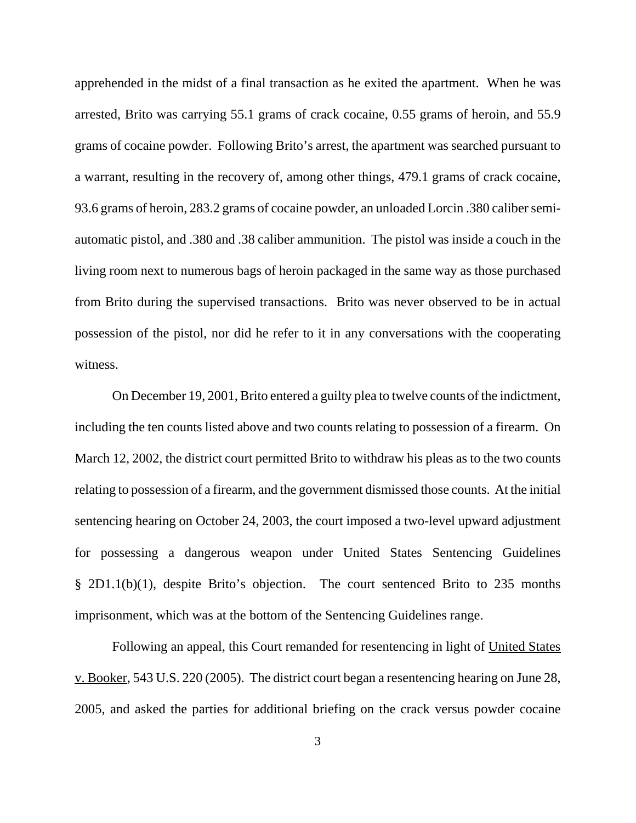apprehended in the midst of a final transaction as he exited the apartment. When he was arrested, Brito was carrying 55.1 grams of crack cocaine, 0.55 grams of heroin, and 55.9 grams of cocaine powder. Following Brito's arrest, the apartment was searched pursuant to a warrant, resulting in the recovery of, among other things, 479.1 grams of crack cocaine, 93.6 grams of heroin, 283.2 grams of cocaine powder, an unloaded Lorcin .380 caliber semiautomatic pistol, and .380 and .38 caliber ammunition. The pistol was inside a couch in the living room next to numerous bags of heroin packaged in the same way as those purchased from Brito during the supervised transactions. Brito was never observed to be in actual possession of the pistol, nor did he refer to it in any conversations with the cooperating witness.

On December 19, 2001, Brito entered a guilty plea to twelve counts of the indictment, including the ten counts listed above and two counts relating to possession of a firearm. On March 12, 2002, the district court permitted Brito to withdraw his pleas as to the two counts relating to possession of a firearm, and the government dismissed those counts. At the initial sentencing hearing on October 24, 2003, the court imposed a two-level upward adjustment for possessing a dangerous weapon under United States Sentencing Guidelines § 2D1.1(b)(1), despite Brito's objection. The court sentenced Brito to 235 months imprisonment, which was at the bottom of the Sentencing Guidelines range.

Following an appeal, this Court remanded for resentencing in light of United States v. Booker, 543 U.S. 220 (2005). The district court began a resentencing hearing on June 28, 2005, and asked the parties for additional briefing on the crack versus powder cocaine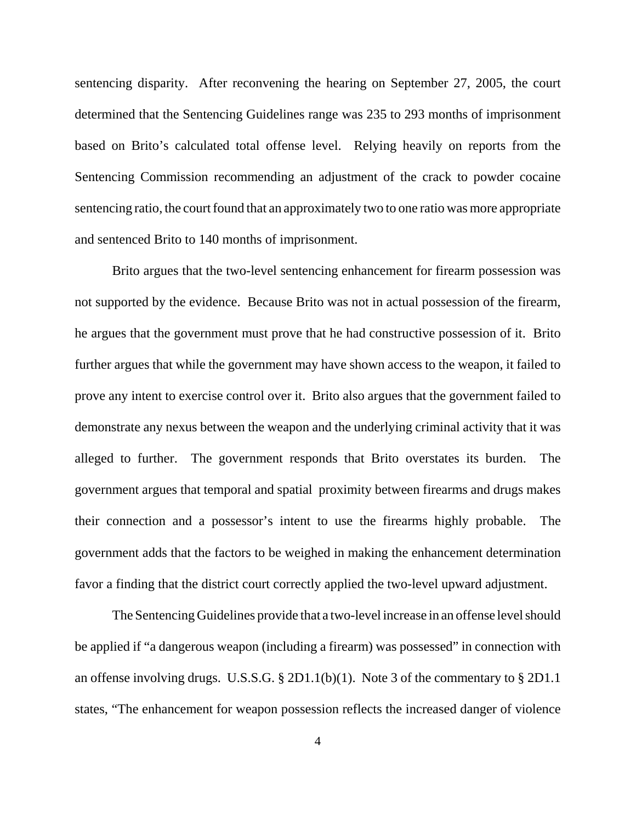sentencing disparity. After reconvening the hearing on September 27, 2005, the court determined that the Sentencing Guidelines range was 235 to 293 months of imprisonment based on Brito's calculated total offense level. Relying heavily on reports from the Sentencing Commission recommending an adjustment of the crack to powder cocaine sentencing ratio, the court found that an approximately two to one ratio was more appropriate and sentenced Brito to 140 months of imprisonment.

Brito argues that the two-level sentencing enhancement for firearm possession was not supported by the evidence. Because Brito was not in actual possession of the firearm, he argues that the government must prove that he had constructive possession of it. Brito further argues that while the government may have shown access to the weapon, it failed to prove any intent to exercise control over it. Brito also argues that the government failed to demonstrate any nexus between the weapon and the underlying criminal activity that it was alleged to further. The government responds that Brito overstates its burden. The government argues that temporal and spatial proximity between firearms and drugs makes their connection and a possessor's intent to use the firearms highly probable. The government adds that the factors to be weighed in making the enhancement determination favor a finding that the district court correctly applied the two-level upward adjustment.

The Sentencing Guidelines provide that a two-level increase in an offense level should be applied if "a dangerous weapon (including a firearm) was possessed" in connection with an offense involving drugs. U.S.S.G. § 2D1.1(b)(1). Note 3 of the commentary to § 2D1.1 states, "The enhancement for weapon possession reflects the increased danger of violence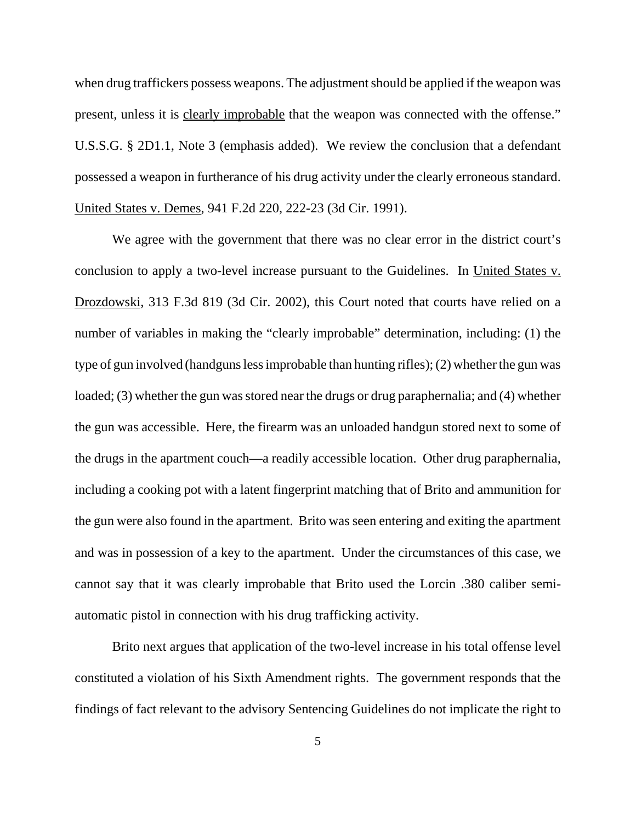when drug traffickers possess weapons. The adjustment should be applied if the weapon was present, unless it is clearly improbable that the weapon was connected with the offense." U.S.S.G. § 2D1.1, Note 3 (emphasis added). We review the conclusion that a defendant possessed a weapon in furtherance of his drug activity under the clearly erroneous standard. United States v. Demes, 941 F.2d 220, 222-23 (3d Cir. 1991).

We agree with the government that there was no clear error in the district court's conclusion to apply a two-level increase pursuant to the Guidelines. In United States v. Drozdowski, 313 F.3d 819 (3d Cir. 2002), this Court noted that courts have relied on a number of variables in making the "clearly improbable" determination, including: (1) the type of gun involved (handguns less improbable than hunting rifles); (2) whether the gun was loaded; (3) whether the gun was stored near the drugs or drug paraphernalia; and (4) whether the gun was accessible. Here, the firearm was an unloaded handgun stored next to some of the drugs in the apartment couch—a readily accessible location. Other drug paraphernalia, including a cooking pot with a latent fingerprint matching that of Brito and ammunition for the gun were also found in the apartment. Brito was seen entering and exiting the apartment and was in possession of a key to the apartment. Under the circumstances of this case, we cannot say that it was clearly improbable that Brito used the Lorcin .380 caliber semiautomatic pistol in connection with his drug trafficking activity.

Brito next argues that application of the two-level increase in his total offense level constituted a violation of his Sixth Amendment rights. The government responds that the findings of fact relevant to the advisory Sentencing Guidelines do not implicate the right to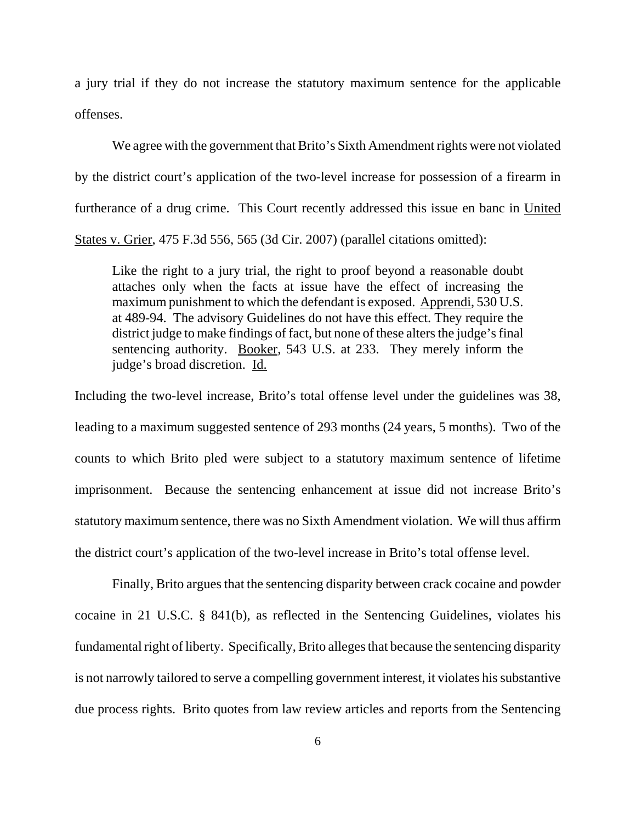a jury trial if they do not increase the statutory maximum sentence for the applicable offenses.

We agree with the government that Brito's Sixth Amendment rights were not violated by the district court's application of the two-level increase for possession of a firearm in furtherance of a drug crime. This Court recently addressed this issue en banc in United States v. Grier, 475 F.3d 556, 565 (3d Cir. 2007) (parallel citations omitted):

Like the right to a jury trial, the right to proof beyond a reasonable doubt attaches only when the facts at issue have the effect of increasing the maximum punishment to which the defendant is exposed. Apprendi, 530 U.S. at 489-94. The advisory Guidelines do not have this effect. They require the district judge to make findings of fact, but none of these alters the judge's final sentencing authority. Booker, 543 U.S. at 233. They merely inform the judge's broad discretion. Id.

Including the two-level increase, Brito's total offense level under the guidelines was 38, leading to a maximum suggested sentence of 293 months (24 years, 5 months). Two of the counts to which Brito pled were subject to a statutory maximum sentence of lifetime imprisonment. Because the sentencing enhancement at issue did not increase Brito's statutory maximum sentence, there was no Sixth Amendment violation. We will thus affirm the district court's application of the two-level increase in Brito's total offense level.

Finally, Brito argues that the sentencing disparity between crack cocaine and powder cocaine in 21 U.S.C. § 841(b), as reflected in the Sentencing Guidelines, violates his fundamental right of liberty. Specifically, Brito alleges that because the sentencing disparity is not narrowly tailored to serve a compelling government interest, it violates his substantive due process rights. Brito quotes from law review articles and reports from the Sentencing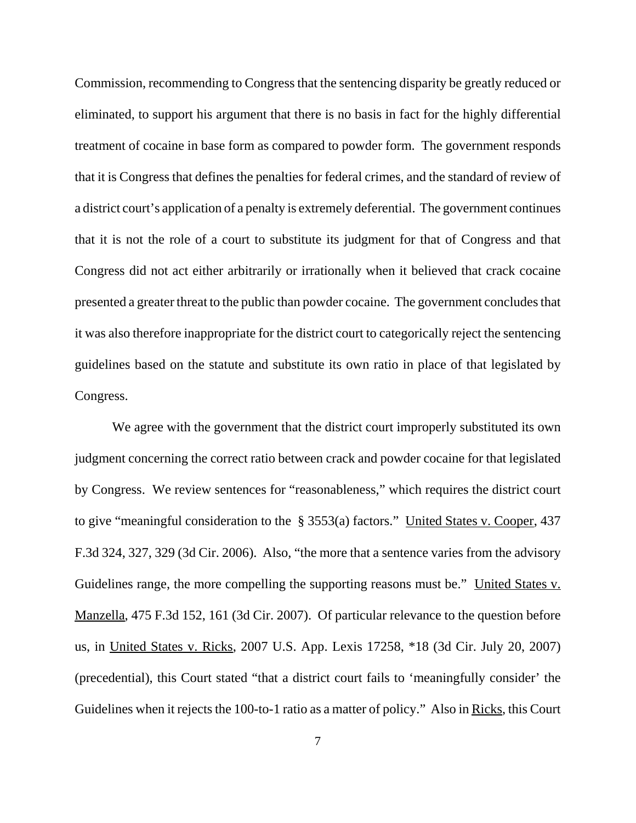Commission, recommending to Congress that the sentencing disparity be greatly reduced or eliminated, to support his argument that there is no basis in fact for the highly differential treatment of cocaine in base form as compared to powder form. The government responds that it is Congress that defines the penalties for federal crimes, and the standard of review of a district court's application of a penalty is extremely deferential. The government continues that it is not the role of a court to substitute its judgment for that of Congress and that Congress did not act either arbitrarily or irrationally when it believed that crack cocaine presented a greater threat to the public than powder cocaine. The government concludes that it was also therefore inappropriate for the district court to categorically reject the sentencing guidelines based on the statute and substitute its own ratio in place of that legislated by Congress.

We agree with the government that the district court improperly substituted its own judgment concerning the correct ratio between crack and powder cocaine for that legislated by Congress. We review sentences for "reasonableness," which requires the district court to give "meaningful consideration to the § 3553(a) factors." United States v. Cooper, 437 F.3d 324, 327, 329 (3d Cir. 2006). Also, "the more that a sentence varies from the advisory Guidelines range, the more compelling the supporting reasons must be." United States v. Manzella, 475 F.3d 152, 161 (3d Cir. 2007). Of particular relevance to the question before us, in United States v. Ricks, 2007 U.S. App. Lexis 17258, \*18 (3d Cir. July 20, 2007) (precedential), this Court stated "that a district court fails to 'meaningfully consider' the Guidelines when it rejects the 100-to-1 ratio as a matter of policy." Also in Ricks, this Court